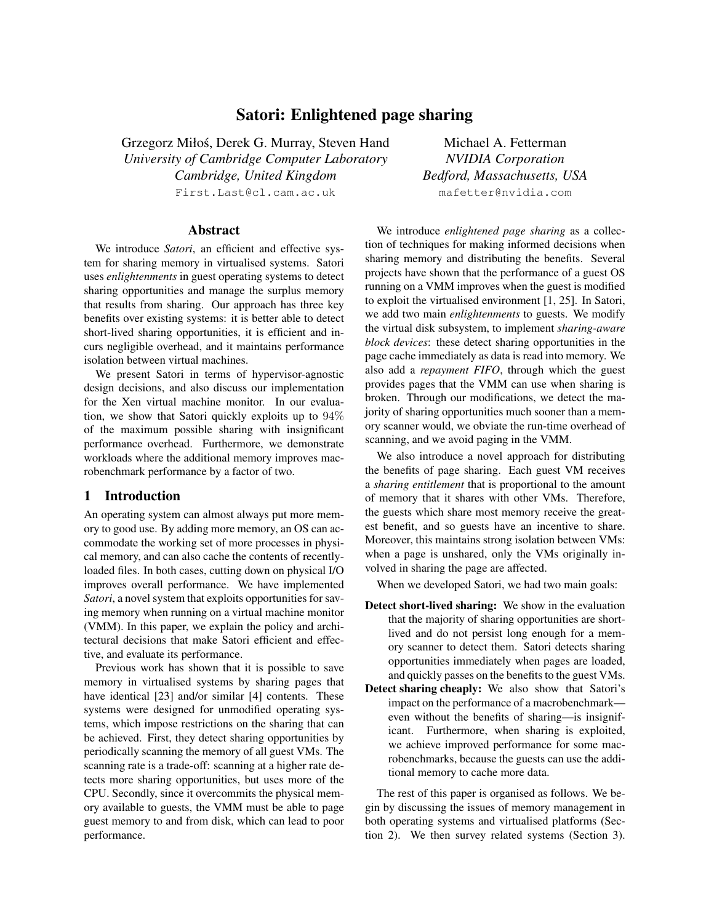# Satori: Enlightened page sharing

Grzegorz Miłos, Derek G. Murray, Steven Hand ´ *University of Cambridge Computer Laboratory Cambridge, United Kingdom* First.Last@cl.cam.ac.uk

### Abstract

We introduce *Satori*, an efficient and effective system for sharing memory in virtualised systems. Satori uses *enlightenments* in guest operating systems to detect sharing opportunities and manage the surplus memory that results from sharing. Our approach has three key benefits over existing systems: it is better able to detect short-lived sharing opportunities, it is efficient and incurs negligible overhead, and it maintains performance isolation between virtual machines.

We present Satori in terms of hypervisor-agnostic design decisions, and also discuss our implementation for the Xen virtual machine monitor. In our evaluation, we show that Satori quickly exploits up to 94% of the maximum possible sharing with insignificant performance overhead. Furthermore, we demonstrate workloads where the additional memory improves macrobenchmark performance by a factor of two.

## 1 Introduction

An operating system can almost always put more memory to good use. By adding more memory, an OS can accommodate the working set of more processes in physical memory, and can also cache the contents of recentlyloaded files. In both cases, cutting down on physical I/O improves overall performance. We have implemented *Satori*, a novel system that exploits opportunities for saving memory when running on a virtual machine monitor (VMM). In this paper, we explain the policy and architectural decisions that make Satori efficient and effective, and evaluate its performance.

Previous work has shown that it is possible to save memory in virtualised systems by sharing pages that have identical [23] and/or similar [4] contents. These systems were designed for unmodified operating systems, which impose restrictions on the sharing that can be achieved. First, they detect sharing opportunities by periodically scanning the memory of all guest VMs. The scanning rate is a trade-off: scanning at a higher rate detects more sharing opportunities, but uses more of the CPU. Secondly, since it overcommits the physical memory available to guests, the VMM must be able to page guest memory to and from disk, which can lead to poor performance.

Michael A. Fetterman *NVIDIA Corporation Bedford, Massachusetts, USA* mafetter@nvidia.com

We introduce *enlightened page sharing* as a collection of techniques for making informed decisions when sharing memory and distributing the benefits. Several projects have shown that the performance of a guest OS running on a VMM improves when the guest is modified to exploit the virtualised environment [1, 25]. In Satori, we add two main *enlightenments* to guests. We modify the virtual disk subsystem, to implement *sharing-aware block devices*: these detect sharing opportunities in the page cache immediately as data is read into memory. We also add a *repayment FIFO*, through which the guest provides pages that the VMM can use when sharing is broken. Through our modifications, we detect the majority of sharing opportunities much sooner than a memory scanner would, we obviate the run-time overhead of scanning, and we avoid paging in the VMM.

We also introduce a novel approach for distributing the benefits of page sharing. Each guest VM receives a *sharing entitlement* that is proportional to the amount of memory that it shares with other VMs. Therefore, the guests which share most memory receive the greatest benefit, and so guests have an incentive to share. Moreover, this maintains strong isolation between VMs: when a page is unshared, only the VMs originally involved in sharing the page are affected.

When we developed Satori, we had two main goals:

- Detect short-lived sharing: We show in the evaluation that the majority of sharing opportunities are shortlived and do not persist long enough for a memory scanner to detect them. Satori detects sharing opportunities immediately when pages are loaded, and quickly passes on the benefits to the guest VMs.
- Detect sharing cheaply: We also show that Satori's impact on the performance of a macrobenchmark even without the benefits of sharing—is insignificant. Furthermore, when sharing is exploited, we achieve improved performance for some macrobenchmarks, because the guests can use the additional memory to cache more data.

The rest of this paper is organised as follows. We begin by discussing the issues of memory management in both operating systems and virtualised platforms (Section 2). We then survey related systems (Section 3).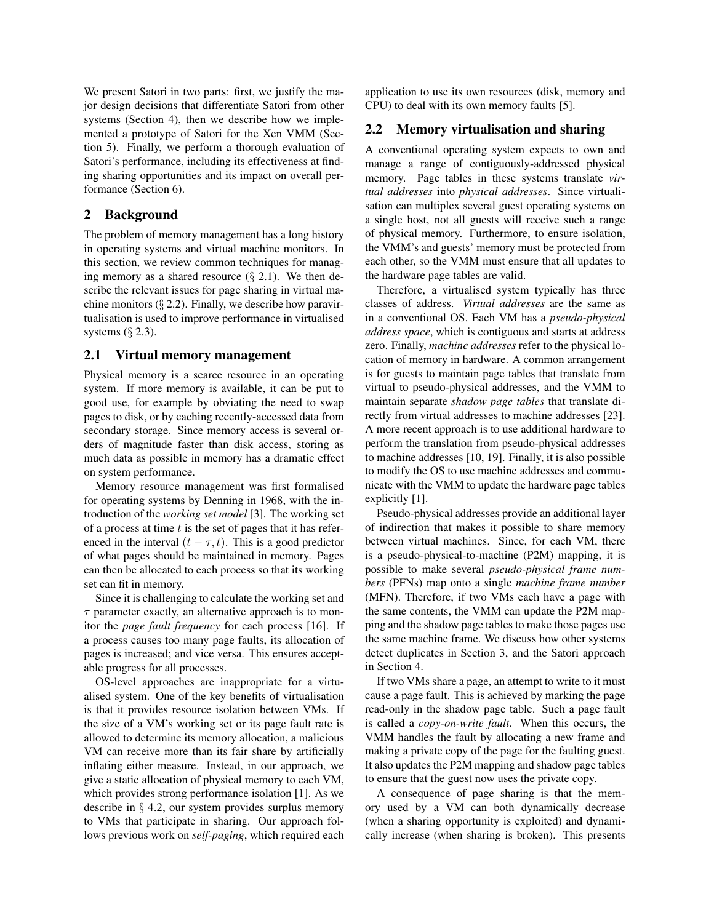We present Satori in two parts: first, we justify the major design decisions that differentiate Satori from other systems (Section 4), then we describe how we implemented a prototype of Satori for the Xen VMM (Section 5). Finally, we perform a thorough evaluation of Satori's performance, including its effectiveness at finding sharing opportunities and its impact on overall performance (Section 6).

## 2 Background

The problem of memory management has a long history in operating systems and virtual machine monitors. In this section, we review common techniques for managing memory as a shared resource  $(\S 2.1)$ . We then describe the relevant issues for page sharing in virtual machine monitors  $(\S 2.2)$ . Finally, we describe how paravirtualisation is used to improve performance in virtualised systems  $(\S$  2.3).

#### 2.1 Virtual memory management

Physical memory is a scarce resource in an operating system. If more memory is available, it can be put to good use, for example by obviating the need to swap pages to disk, or by caching recently-accessed data from secondary storage. Since memory access is several orders of magnitude faster than disk access, storing as much data as possible in memory has a dramatic effect on system performance.

Memory resource management was first formalised for operating systems by Denning in 1968, with the introduction of the *working set model* [3]. The working set of a process at time  $t$  is the set of pages that it has referenced in the interval  $(t - \tau, t)$ . This is a good predictor of what pages should be maintained in memory. Pages can then be allocated to each process so that its working set can fit in memory.

Since it is challenging to calculate the working set and  $\tau$  parameter exactly, an alternative approach is to monitor the *page fault frequency* for each process [16]. If a process causes too many page faults, its allocation of pages is increased; and vice versa. This ensures acceptable progress for all processes.

OS-level approaches are inappropriate for a virtualised system. One of the key benefits of virtualisation is that it provides resource isolation between VMs. If the size of a VM's working set or its page fault rate is allowed to determine its memory allocation, a malicious VM can receive more than its fair share by artificially inflating either measure. Instead, in our approach, we give a static allocation of physical memory to each VM, which provides strong performance isolation [1]. As we describe in § 4.2, our system provides surplus memory to VMs that participate in sharing. Our approach follows previous work on *self-paging*, which required each application to use its own resources (disk, memory and CPU) to deal with its own memory faults [5].

#### 2.2 Memory virtualisation and sharing

A conventional operating system expects to own and manage a range of contiguously-addressed physical memory. Page tables in these systems translate *virtual addresses* into *physical addresses*. Since virtualisation can multiplex several guest operating systems on a single host, not all guests will receive such a range of physical memory. Furthermore, to ensure isolation, the VMM's and guests' memory must be protected from each other, so the VMM must ensure that all updates to the hardware page tables are valid.

Therefore, a virtualised system typically has three classes of address. *Virtual addresses* are the same as in a conventional OS. Each VM has a *pseudo-physical address space*, which is contiguous and starts at address zero. Finally, *machine addresses* refer to the physical location of memory in hardware. A common arrangement is for guests to maintain page tables that translate from virtual to pseudo-physical addresses, and the VMM to maintain separate *shadow page tables* that translate directly from virtual addresses to machine addresses [23]. A more recent approach is to use additional hardware to perform the translation from pseudo-physical addresses to machine addresses [10, 19]. Finally, it is also possible to modify the OS to use machine addresses and communicate with the VMM to update the hardware page tables explicitly [1].

Pseudo-physical addresses provide an additional layer of indirection that makes it possible to share memory between virtual machines. Since, for each VM, there is a pseudo-physical-to-machine (P2M) mapping, it is possible to make several *pseudo-physical frame numbers* (PFNs) map onto a single *machine frame number* (MFN). Therefore, if two VMs each have a page with the same contents, the VMM can update the P2M mapping and the shadow page tables to make those pages use the same machine frame. We discuss how other systems detect duplicates in Section 3, and the Satori approach in Section 4.

If two VMs share a page, an attempt to write to it must cause a page fault. This is achieved by marking the page read-only in the shadow page table. Such a page fault is called a *copy-on-write fault*. When this occurs, the VMM handles the fault by allocating a new frame and making a private copy of the page for the faulting guest. It also updates the P2M mapping and shadow page tables to ensure that the guest now uses the private copy.

A consequence of page sharing is that the memory used by a VM can both dynamically decrease (when a sharing opportunity is exploited) and dynamically increase (when sharing is broken). This presents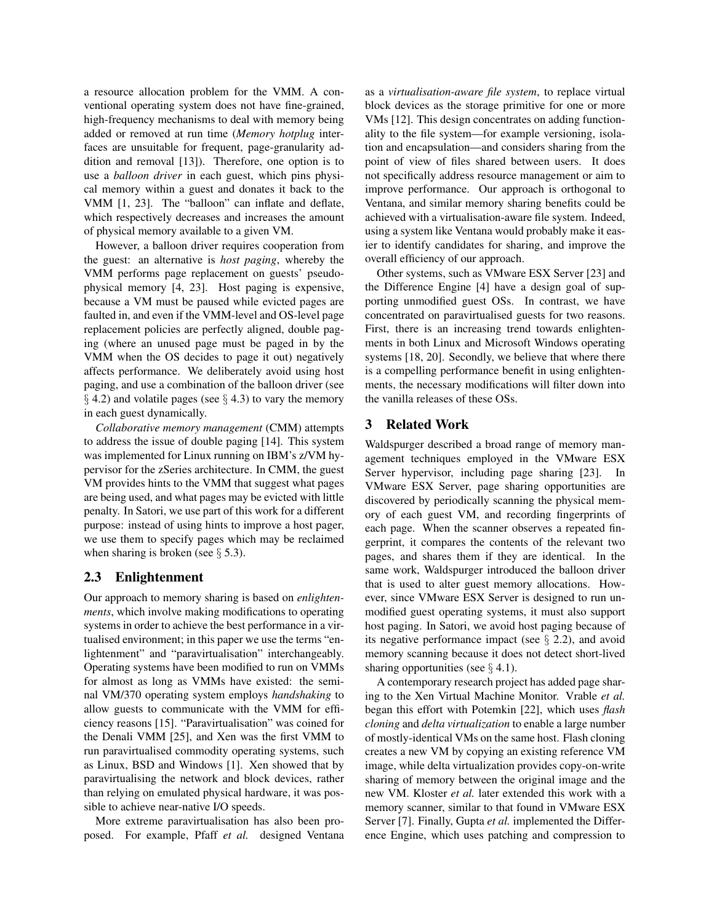a resource allocation problem for the VMM. A conventional operating system does not have fine-grained, high-frequency mechanisms to deal with memory being added or removed at run time (*Memory hotplug* interfaces are unsuitable for frequent, page-granularity addition and removal [13]). Therefore, one option is to use a *balloon driver* in each guest, which pins physical memory within a guest and donates it back to the VMM [1, 23]. The "balloon" can inflate and deflate, which respectively decreases and increases the amount of physical memory available to a given VM.

However, a balloon driver requires cooperation from the guest: an alternative is *host paging*, whereby the VMM performs page replacement on guests' pseudophysical memory [4, 23]. Host paging is expensive, because a VM must be paused while evicted pages are faulted in, and even if the VMM-level and OS-level page replacement policies are perfectly aligned, double paging (where an unused page must be paged in by the VMM when the OS decides to page it out) negatively affects performance. We deliberately avoid using host paging, and use a combination of the balloon driver (see  $\S$  4.2) and volatile pages (see  $\S$  4.3) to vary the memory in each guest dynamically.

*Collaborative memory management* (CMM) attempts to address the issue of double paging [14]. This system was implemented for Linux running on IBM's z/VM hypervisor for the zSeries architecture. In CMM, the guest VM provides hints to the VMM that suggest what pages are being used, and what pages may be evicted with little penalty. In Satori, we use part of this work for a different purpose: instead of using hints to improve a host pager, we use them to specify pages which may be reclaimed when sharing is broken (see  $\S$  5.3).

### 2.3 Enlightenment

Our approach to memory sharing is based on *enlightenments*, which involve making modifications to operating systems in order to achieve the best performance in a virtualised environment; in this paper we use the terms "enlightenment" and "paravirtualisation" interchangeably. Operating systems have been modified to run on VMMs for almost as long as VMMs have existed: the seminal VM/370 operating system employs *handshaking* to allow guests to communicate with the VMM for efficiency reasons [15]. "Paravirtualisation" was coined for the Denali VMM [25], and Xen was the first VMM to run paravirtualised commodity operating systems, such as Linux, BSD and Windows [1]. Xen showed that by paravirtualising the network and block devices, rather than relying on emulated physical hardware, it was possible to achieve near-native I/O speeds.

More extreme paravirtualisation has also been proposed. For example, Pfaff *et al.* designed Ventana as a *virtualisation-aware file system*, to replace virtual block devices as the storage primitive for one or more VMs [12]. This design concentrates on adding functionality to the file system—for example versioning, isolation and encapsulation—and considers sharing from the point of view of files shared between users. It does not specifically address resource management or aim to improve performance. Our approach is orthogonal to Ventana, and similar memory sharing benefits could be achieved with a virtualisation-aware file system. Indeed, using a system like Ventana would probably make it easier to identify candidates for sharing, and improve the overall efficiency of our approach.

Other systems, such as VMware ESX Server [23] and the Difference Engine [4] have a design goal of supporting unmodified guest OSs. In contrast, we have concentrated on paravirtualised guests for two reasons. First, there is an increasing trend towards enlightenments in both Linux and Microsoft Windows operating systems [18, 20]. Secondly, we believe that where there is a compelling performance benefit in using enlightenments, the necessary modifications will filter down into the vanilla releases of these OSs.

## 3 Related Work

Waldspurger described a broad range of memory management techniques employed in the VMware ESX Server hypervisor, including page sharing [23]. In VMware ESX Server, page sharing opportunities are discovered by periodically scanning the physical memory of each guest VM, and recording fingerprints of each page. When the scanner observes a repeated fingerprint, it compares the contents of the relevant two pages, and shares them if they are identical. In the same work, Waldspurger introduced the balloon driver that is used to alter guest memory allocations. However, since VMware ESX Server is designed to run unmodified guest operating systems, it must also support host paging. In Satori, we avoid host paging because of its negative performance impact (see  $\S$  2.2), and avoid memory scanning because it does not detect short-lived sharing opportunities (see  $\S$  4.1).

A contemporary research project has added page sharing to the Xen Virtual Machine Monitor. Vrable *et al.* began this effort with Potemkin [22], which uses *flash cloning* and *delta virtualization* to enable a large number of mostly-identical VMs on the same host. Flash cloning creates a new VM by copying an existing reference VM image, while delta virtualization provides copy-on-write sharing of memory between the original image and the new VM. Kloster *et al.* later extended this work with a memory scanner, similar to that found in VMware ESX Server [7]. Finally, Gupta *et al.* implemented the Difference Engine, which uses patching and compression to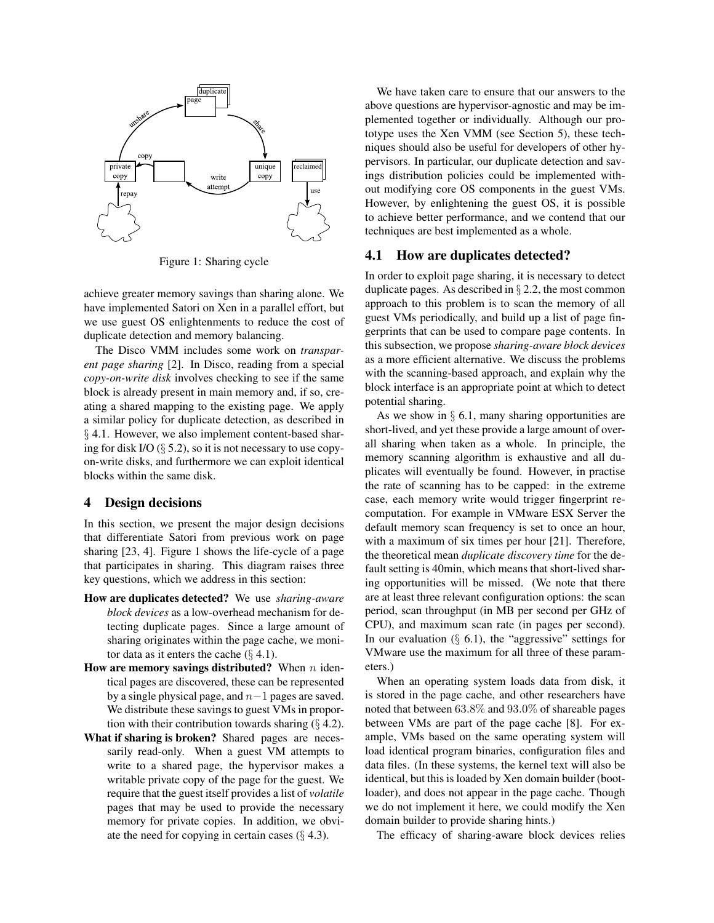

Figure 1: Sharing cycle

achieve greater memory savings than sharing alone. We have implemented Satori on Xen in a parallel effort, but we use guest OS enlightenments to reduce the cost of duplicate detection and memory balancing.

The Disco VMM includes some work on *transparent page sharing* [2]. In Disco, reading from a special *copy-on-write disk* involves checking to see if the same block is already present in main memory and, if so, creating a shared mapping to the existing page. We apply a similar policy for duplicate detection, as described in § 4.1. However, we also implement content-based sharing for disk I/O  $(\S$  5.2), so it is not necessary to use copyon-write disks, and furthermore we can exploit identical blocks within the same disk.

### 4 Design decisions

In this section, we present the major design decisions that differentiate Satori from previous work on page sharing [23, 4]. Figure 1 shows the life-cycle of a page that participates in sharing. This diagram raises three key questions, which we address in this section:

- How are duplicates detected? We use *sharing-aware block devices* as a low-overhead mechanism for detecting duplicate pages. Since a large amount of sharing originates within the page cache, we monitor data as it enters the cache  $(\S 4.1)$ .
- How are memory savings distributed? When  $n$  identical pages are discovered, these can be represented by a single physical page, and  $n-1$  pages are saved. We distribute these savings to guest VMs in proportion with their contribution towards sharing  $(§ 4.2)$ .
- What if sharing is broken? Shared pages are necessarily read-only. When a guest VM attempts to write to a shared page, the hypervisor makes a writable private copy of the page for the guest. We require that the guest itself provides a list of *volatile* pages that may be used to provide the necessary memory for private copies. In addition, we obviate the need for copying in certain cases  $(\S 4.3)$ .

We have taken care to ensure that our answers to the above questions are hypervisor-agnostic and may be implemented together or individually. Although our prototype uses the Xen VMM (see Section 5), these techniques should also be useful for developers of other hypervisors. In particular, our duplicate detection and savings distribution policies could be implemented without modifying core OS components in the guest VMs. However, by enlightening the guest OS, it is possible to achieve better performance, and we contend that our techniques are best implemented as a whole.

## 4.1 How are duplicates detected?

In order to exploit page sharing, it is necessary to detect duplicate pages. As described in  $\S 2.2$ , the most common approach to this problem is to scan the memory of all guest VMs periodically, and build up a list of page fingerprints that can be used to compare page contents. In this subsection, we propose *sharing-aware block devices* as a more efficient alternative. We discuss the problems with the scanning-based approach, and explain why the block interface is an appropriate point at which to detect potential sharing.

As we show in  $\S$  6.1, many sharing opportunities are short-lived, and yet these provide a large amount of overall sharing when taken as a whole. In principle, the memory scanning algorithm is exhaustive and all duplicates will eventually be found. However, in practise the rate of scanning has to be capped: in the extreme case, each memory write would trigger fingerprint recomputation. For example in VMware ESX Server the default memory scan frequency is set to once an hour, with a maximum of six times per hour [21]. Therefore, the theoretical mean *duplicate discovery time* for the default setting is 40min, which means that short-lived sharing opportunities will be missed. (We note that there are at least three relevant configuration options: the scan period, scan throughput (in MB per second per GHz of CPU), and maximum scan rate (in pages per second). In our evaluation  $(\S$  6.1), the "aggressive" settings for VMware use the maximum for all three of these parameters.)

When an operating system loads data from disk, it is stored in the page cache, and other researchers have noted that between 63.8% and 93.0% of shareable pages between VMs are part of the page cache [8]. For example, VMs based on the same operating system will load identical program binaries, configuration files and data files. (In these systems, the kernel text will also be identical, but this is loaded by Xen domain builder (bootloader), and does not appear in the page cache. Though we do not implement it here, we could modify the Xen domain builder to provide sharing hints.)

The efficacy of sharing-aware block devices relies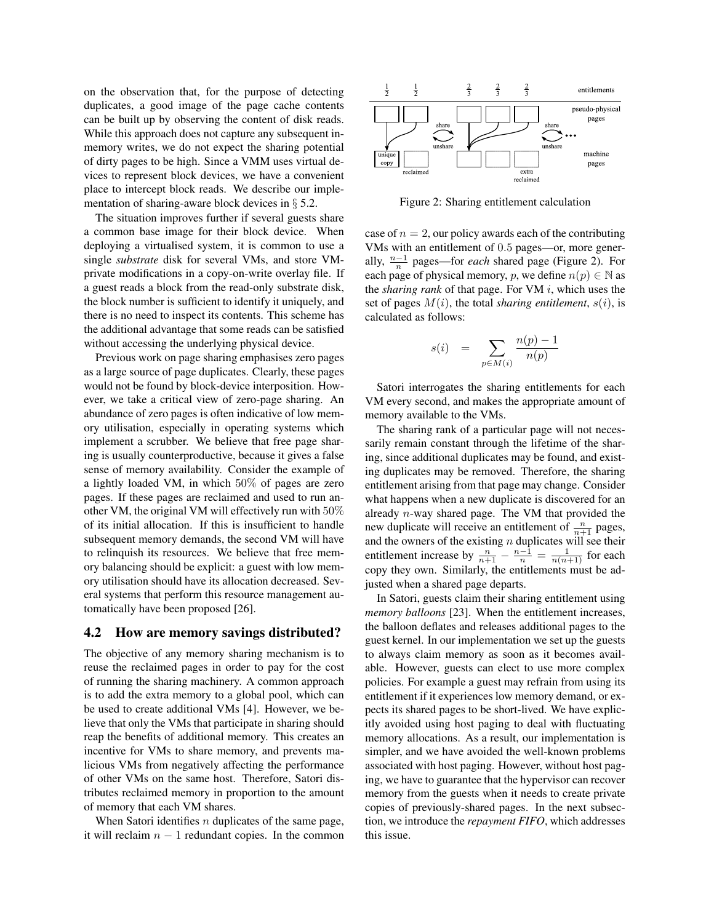on the observation that, for the purpose of detecting duplicates, a good image of the page cache contents can be built up by observing the content of disk reads. While this approach does not capture any subsequent inmemory writes, we do not expect the sharing potential of dirty pages to be high. Since a VMM uses virtual devices to represent block devices, we have a convenient place to intercept block reads. We describe our implementation of sharing-aware block devices in § 5.2.

The situation improves further if several guests share a common base image for their block device. When deploying a virtualised system, it is common to use a single *substrate* disk for several VMs, and store VMprivate modifications in a copy-on-write overlay file. If a guest reads a block from the read-only substrate disk, the block number is sufficient to identify it uniquely, and there is no need to inspect its contents. This scheme has the additional advantage that some reads can be satisfied without accessing the underlying physical device.

Previous work on page sharing emphasises zero pages as a large source of page duplicates. Clearly, these pages would not be found by block-device interposition. However, we take a critical view of zero-page sharing. An abundance of zero pages is often indicative of low memory utilisation, especially in operating systems which implement a scrubber. We believe that free page sharing is usually counterproductive, because it gives a false sense of memory availability. Consider the example of a lightly loaded VM, in which 50% of pages are zero pages. If these pages are reclaimed and used to run another VM, the original VM will effectively run with 50% of its initial allocation. If this is insufficient to handle subsequent memory demands, the second VM will have to relinquish its resources. We believe that free memory balancing should be explicit: a guest with low memory utilisation should have its allocation decreased. Several systems that perform this resource management automatically have been proposed [26].

#### 4.2 How are memory savings distributed?

The objective of any memory sharing mechanism is to reuse the reclaimed pages in order to pay for the cost of running the sharing machinery. A common approach is to add the extra memory to a global pool, which can be used to create additional VMs [4]. However, we believe that only the VMs that participate in sharing should reap the benefits of additional memory. This creates an incentive for VMs to share memory, and prevents malicious VMs from negatively affecting the performance of other VMs on the same host. Therefore, Satori distributes reclaimed memory in proportion to the amount of memory that each VM shares.

When Satori identifies  $n$  duplicates of the same page, it will reclaim  $n - 1$  redundant copies. In the common



Figure 2: Sharing entitlement calculation

case of  $n = 2$ , our policy awards each of the contributing VMs with an entitlement of 0.5 pages—or, more generally,  $\frac{n-1}{n}$  pages—for *each* shared page (Figure 2). For each page of physical memory, p, we define  $n(p) \in \mathbb{N}$  as the *sharing rank* of that page. For VM i, which uses the set of pages  $M(i)$ , the total *sharing entitlement*,  $s(i)$ , is calculated as follows:

$$
s(i) = \sum_{p \in M(i)} \frac{n(p) - 1}{n(p)}
$$

Satori interrogates the sharing entitlements for each VM every second, and makes the appropriate amount of memory available to the VMs.

The sharing rank of a particular page will not necessarily remain constant through the lifetime of the sharing, since additional duplicates may be found, and existing duplicates may be removed. Therefore, the sharing entitlement arising from that page may change. Consider what happens when a new duplicate is discovered for an already n-way shared page. The VM that provided the new duplicate will receive an entitlement of  $\frac{n}{n+1}$  pages, and the owners of the existing  $n$  duplicates will see their entitlement increase by  $\frac{n}{n+1} - \frac{n-1}{n} = \frac{1}{n(n+1)}$  for each copy they own. Similarly, the entitlements must be adjusted when a shared page departs.

In Satori, guests claim their sharing entitlement using *memory balloons* [23]. When the entitlement increases, the balloon deflates and releases additional pages to the guest kernel. In our implementation we set up the guests to always claim memory as soon as it becomes available. However, guests can elect to use more complex policies. For example a guest may refrain from using its entitlement if it experiences low memory demand, or expects its shared pages to be short-lived. We have explicitly avoided using host paging to deal with fluctuating memory allocations. As a result, our implementation is simpler, and we have avoided the well-known problems associated with host paging. However, without host paging, we have to guarantee that the hypervisor can recover memory from the guests when it needs to create private copies of previously-shared pages. In the next subsection, we introduce the *repayment FIFO*, which addresses this issue.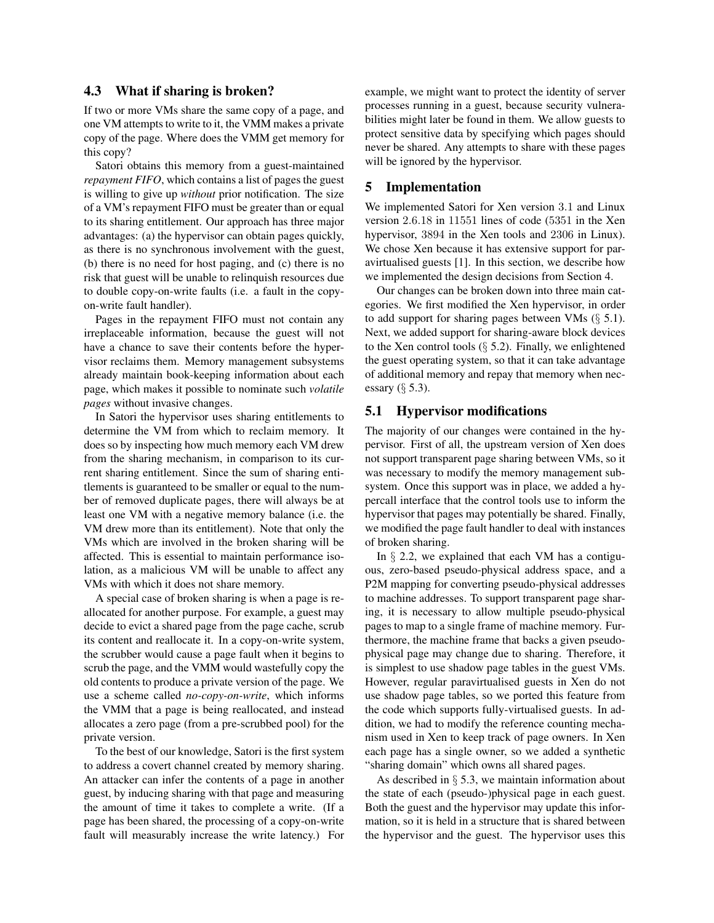# 4.3 What if sharing is broken?

If two or more VMs share the same copy of a page, and one VM attempts to write to it, the VMM makes a private copy of the page. Where does the VMM get memory for this copy?

Satori obtains this memory from a guest-maintained *repayment FIFO*, which contains a list of pages the guest is willing to give up *without* prior notification. The size of a VM's repayment FIFO must be greater than or equal to its sharing entitlement. Our approach has three major advantages: (a) the hypervisor can obtain pages quickly, as there is no synchronous involvement with the guest, (b) there is no need for host paging, and (c) there is no risk that guest will be unable to relinquish resources due to double copy-on-write faults (i.e. a fault in the copyon-write fault handler).

Pages in the repayment FIFO must not contain any irreplaceable information, because the guest will not have a chance to save their contents before the hypervisor reclaims them. Memory management subsystems already maintain book-keeping information about each page, which makes it possible to nominate such *volatile pages* without invasive changes.

In Satori the hypervisor uses sharing entitlements to determine the VM from which to reclaim memory. It does so by inspecting how much memory each VM drew from the sharing mechanism, in comparison to its current sharing entitlement. Since the sum of sharing entitlements is guaranteed to be smaller or equal to the number of removed duplicate pages, there will always be at least one VM with a negative memory balance (i.e. the VM drew more than its entitlement). Note that only the VMs which are involved in the broken sharing will be affected. This is essential to maintain performance isolation, as a malicious VM will be unable to affect any VMs with which it does not share memory.

A special case of broken sharing is when a page is reallocated for another purpose. For example, a guest may decide to evict a shared page from the page cache, scrub its content and reallocate it. In a copy-on-write system, the scrubber would cause a page fault when it begins to scrub the page, and the VMM would wastefully copy the old contents to produce a private version of the page. We use a scheme called *no-copy-on-write*, which informs the VMM that a page is being reallocated, and instead allocates a zero page (from a pre-scrubbed pool) for the private version.

To the best of our knowledge, Satori is the first system to address a covert channel created by memory sharing. An attacker can infer the contents of a page in another guest, by inducing sharing with that page and measuring the amount of time it takes to complete a write. (If a page has been shared, the processing of a copy-on-write fault will measurably increase the write latency.) For example, we might want to protect the identity of server processes running in a guest, because security vulnerabilities might later be found in them. We allow guests to protect sensitive data by specifying which pages should never be shared. Any attempts to share with these pages will be ignored by the hypervisor.

### 5 Implementation

We implemented Satori for Xen version 3.1 and Linux version 2.6.18 in 11551 lines of code (5351 in the Xen hypervisor, 3894 in the Xen tools and 2306 in Linux). We chose Xen because it has extensive support for paravirtualised guests [1]. In this section, we describe how we implemented the design decisions from Section 4.

Our changes can be broken down into three main categories. We first modified the Xen hypervisor, in order to add support for sharing pages between VMs (§ 5.1). Next, we added support for sharing-aware block devices to the Xen control tools  $(\S$  5.2). Finally, we enlightened the guest operating system, so that it can take advantage of additional memory and repay that memory when necessary  $(\S 5.3)$ .

## 5.1 Hypervisor modifications

The majority of our changes were contained in the hypervisor. First of all, the upstream version of Xen does not support transparent page sharing between VMs, so it was necessary to modify the memory management subsystem. Once this support was in place, we added a hypercall interface that the control tools use to inform the hypervisor that pages may potentially be shared. Finally, we modified the page fault handler to deal with instances of broken sharing.

In  $\S$  2.2, we explained that each VM has a contiguous, zero-based pseudo-physical address space, and a P2M mapping for converting pseudo-physical addresses to machine addresses. To support transparent page sharing, it is necessary to allow multiple pseudo-physical pages to map to a single frame of machine memory. Furthermore, the machine frame that backs a given pseudophysical page may change due to sharing. Therefore, it is simplest to use shadow page tables in the guest VMs. However, regular paravirtualised guests in Xen do not use shadow page tables, so we ported this feature from the code which supports fully-virtualised guests. In addition, we had to modify the reference counting mechanism used in Xen to keep track of page owners. In Xen each page has a single owner, so we added a synthetic "sharing domain" which owns all shared pages.

As described in  $\S$  5.3, we maintain information about the state of each (pseudo-)physical page in each guest. Both the guest and the hypervisor may update this information, so it is held in a structure that is shared between the hypervisor and the guest. The hypervisor uses this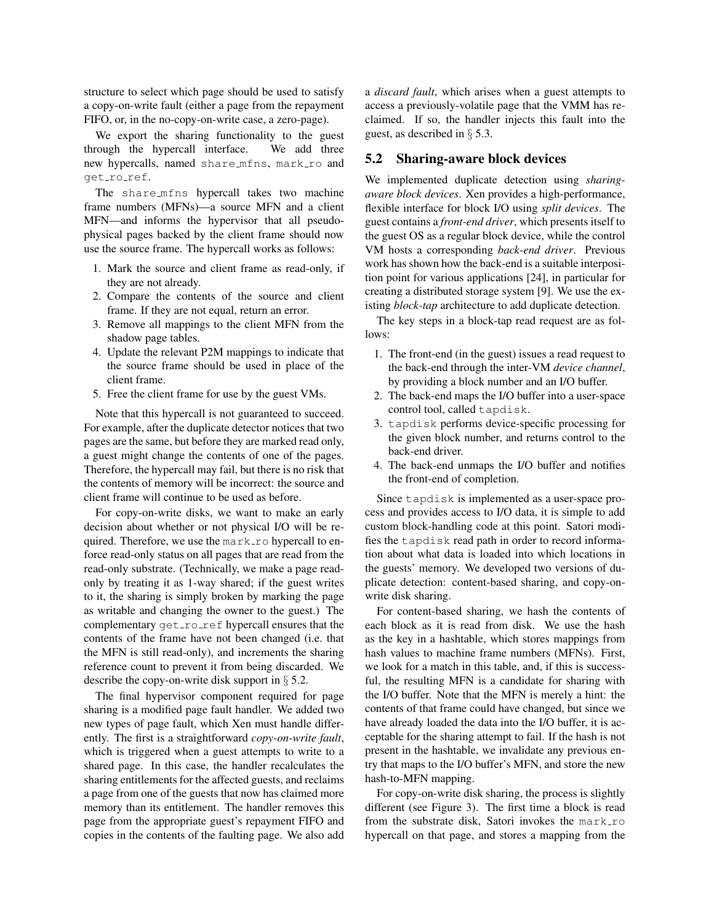structure to select which page should be used to satisfy a copy-on-write fault (either a page from the repayment FIFO, or, in the no-copy-on-write case, a zero-page).

We export the sharing functionality to the guest through the hypercall interface. We add three new hypercalls, named share mfns, mark ro and get\_ro\_ref.

The share mfns hypercall takes two machine frame numbers (MFNs)—a source MFN and a client MFN—and informs the hypervisor that all pseudophysical pages backed by the client frame should now use the source frame. The hypercall works as follows:

- 1. Mark the source and client frame as read-only, if they are not already.
- 2. Compare the contents of the source and client frame. If they are not equal, return an error.
- 3. Remove all mappings to the client MFN from the shadow page tables.
- 4. Update the relevant P2M mappings to indicate that the source frame should be used in place of the client frame.
- 5. Free the client frame for use by the guest VMs.

Note that this hypercall is not guaranteed to succeed. For example, after the duplicate detector notices that two pages are the same, but before they are marked read only, a guest might change the contents of one of the pages. Therefore, the hypercall may fail, but there is no risk that the contents of memory will be incorrect: the source and client frame will continue to be used as before.

For copy-on-write disks, we want to make an early decision about whether or not physical I/O will be required. Therefore, we use the mark\_ro hypercall to enforce read-only status on all pages that are read from the read-only substrate. (Technically, we make a page readonly by treating it as 1-way shared; if the guest writes to it, the sharing is simply broken by marking the page as writable and changing the owner to the guest.) The complementary get roref hypercall ensures that the contents of the frame have not been changed (i.e. that the MFN is still read-only), and increments the sharing reference count to prevent it from being discarded. We describe the copy-on-write disk support in § 5.2.

The final hypervisor component required for page sharing is a modified page fault handler. We added two new types of page fault, which Xen must handle differently. The first is a straightforward *copy-on-write fault*, which is triggered when a guest attempts to write to a shared page. In this case, the handler recalculates the sharing entitlements for the affected guests, and reclaims a page from one of the guests that now has claimed more memory than its entitlement. The handler removes this page from the appropriate guest's repayment FIFO and copies in the contents of the faulting page. We also add a *discard fault*, which arises when a guest attempts to access a previously-volatile page that the VMM has reclaimed. If so, the handler injects this fault into the guest, as described in § 5.3.

### 5.2 Sharing-aware block devices

We implemented duplicate detection using *sharingaware block devices*. Xen provides a high-performance, flexible interface for block I/O using *split devices*. The guest contains a *front-end driver*, which presents itself to the guest OS as a regular block device, while the control VM hosts a corresponding *back-end driver*. Previous work has shown how the back-end is a suitable interposition point for various applications [24], in particular for creating a distributed storage system [9]. We use the existing *block-tap* architecture to add duplicate detection.

The key steps in a block-tap read request are as follows:

- 1. The front-end (in the guest) issues a read request to the back-end through the inter-VM *device channel*, by providing a block number and an I/O buffer.
- 2. The back-end maps the I/O buffer into a user-space control tool, called tapdisk.
- 3. tapdisk performs device-specific processing for the given block number, and returns control to the back-end driver.
- 4. The back-end unmaps the I/O buffer and notifies the front-end of completion.

Since tapdisk is implemented as a user-space process and provides access to I/O data, it is simple to add custom block-handling code at this point. Satori modifies the tapdisk read path in order to record information about what data is loaded into which locations in the guests' memory. We developed two versions of duplicate detection: content-based sharing, and copy-onwrite disk sharing.

For content-based sharing, we hash the contents of each block as it is read from disk. We use the hash as the key in a hashtable, which stores mappings from hash values to machine frame numbers (MFNs). First, we look for a match in this table, and, if this is successful, the resulting MFN is a candidate for sharing with the I/O buffer. Note that the MFN is merely a hint: the contents of that frame could have changed, but since we have already loaded the data into the I/O buffer, it is acceptable for the sharing attempt to fail. If the hash is not present in the hashtable, we invalidate any previous entry that maps to the I/O buffer's MFN, and store the new hash-to-MFN mapping.

For copy-on-write disk sharing, the process is slightly different (see Figure 3). The first time a block is read from the substrate disk, Satori invokes the mark\_ro hypercall on that page, and stores a mapping from the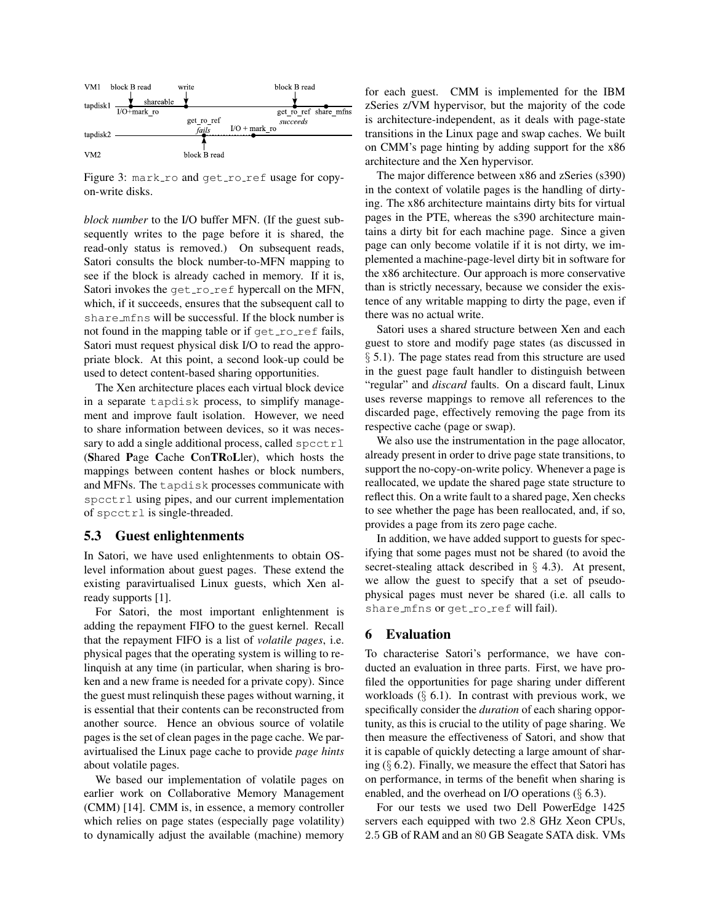

Figure 3: mark\_ro and get\_ro\_ref usage for copyon-write disks.

*block number* to the I/O buffer MFN. (If the guest subsequently writes to the page before it is shared, the read-only status is removed.) On subsequent reads, Satori consults the block number-to-MFN mapping to see if the block is already cached in memory. If it is, Satori invokes the  $qet\_ro\_ref$  hypercall on the MFN, which, if it succeeds, ensures that the subsequent call to share mfns will be successful. If the block number is not found in the mapping table or if  $qet\_ro\_ref$  fails, Satori must request physical disk I/O to read the appropriate block. At this point, a second look-up could be used to detect content-based sharing opportunities.

The Xen architecture places each virtual block device in a separate tapdisk process, to simplify management and improve fault isolation. However, we need to share information between devices, so it was necessary to add a single additional process, called  $spectr1$ (Shared Page Cache ConTRoLler), which hosts the mappings between content hashes or block numbers, and MFNs. The tapdisk processes communicate with spcctrl using pipes, and our current implementation of spcctrl is single-threaded.

#### 5.3 Guest enlightenments

In Satori, we have used enlightenments to obtain OSlevel information about guest pages. These extend the existing paravirtualised Linux guests, which Xen already supports [1].

For Satori, the most important enlightenment is adding the repayment FIFO to the guest kernel. Recall that the repayment FIFO is a list of *volatile pages*, i.e. physical pages that the operating system is willing to relinquish at any time (in particular, when sharing is broken and a new frame is needed for a private copy). Since the guest must relinquish these pages without warning, it is essential that their contents can be reconstructed from another source. Hence an obvious source of volatile pages is the set of clean pages in the page cache. We paravirtualised the Linux page cache to provide *page hints* about volatile pages.

We based our implementation of volatile pages on earlier work on Collaborative Memory Management (CMM) [14]. CMM is, in essence, a memory controller which relies on page states (especially page volatility) to dynamically adjust the available (machine) memory for each guest. CMM is implemented for the IBM zSeries z/VM hypervisor, but the majority of the code is architecture-independent, as it deals with page-state transitions in the Linux page and swap caches. We built on CMM's page hinting by adding support for the x86 architecture and the Xen hypervisor.

The major difference between x86 and zSeries (s390) in the context of volatile pages is the handling of dirtying. The x86 architecture maintains dirty bits for virtual pages in the PTE, whereas the s390 architecture maintains a dirty bit for each machine page. Since a given page can only become volatile if it is not dirty, we implemented a machine-page-level dirty bit in software for the x86 architecture. Our approach is more conservative than is strictly necessary, because we consider the existence of any writable mapping to dirty the page, even if there was no actual write.

Satori uses a shared structure between Xen and each guest to store and modify page states (as discussed in § 5.1). The page states read from this structure are used in the guest page fault handler to distinguish between "regular" and *discard* faults. On a discard fault, Linux uses reverse mappings to remove all references to the discarded page, effectively removing the page from its respective cache (page or swap).

We also use the instrumentation in the page allocator, already present in order to drive page state transitions, to support the no-copy-on-write policy. Whenever a page is reallocated, we update the shared page state structure to reflect this. On a write fault to a shared page, Xen checks to see whether the page has been reallocated, and, if so, provides a page from its zero page cache.

In addition, we have added support to guests for specifying that some pages must not be shared (to avoid the secret-stealing attack described in § 4.3). At present, we allow the guest to specify that a set of pseudophysical pages must never be shared (i.e. all calls to share\_mfns or qet\_ro\_ref will fail).

## 6 Evaluation

To characterise Satori's performance, we have conducted an evaluation in three parts. First, we have profiled the opportunities for page sharing under different workloads  $(\S$  6.1). In contrast with previous work, we specifically consider the *duration* of each sharing opportunity, as this is crucial to the utility of page sharing. We then measure the effectiveness of Satori, and show that it is capable of quickly detecting a large amount of sharing  $(\S$  6.2). Finally, we measure the effect that Satori has on performance, in terms of the benefit when sharing is enabled, and the overhead on I/O operations  $(\S$  6.3).

For our tests we used two Dell PowerEdge 1425 servers each equipped with two 2.8 GHz Xeon CPUs, 2.5 GB of RAM and an 80 GB Seagate SATA disk. VMs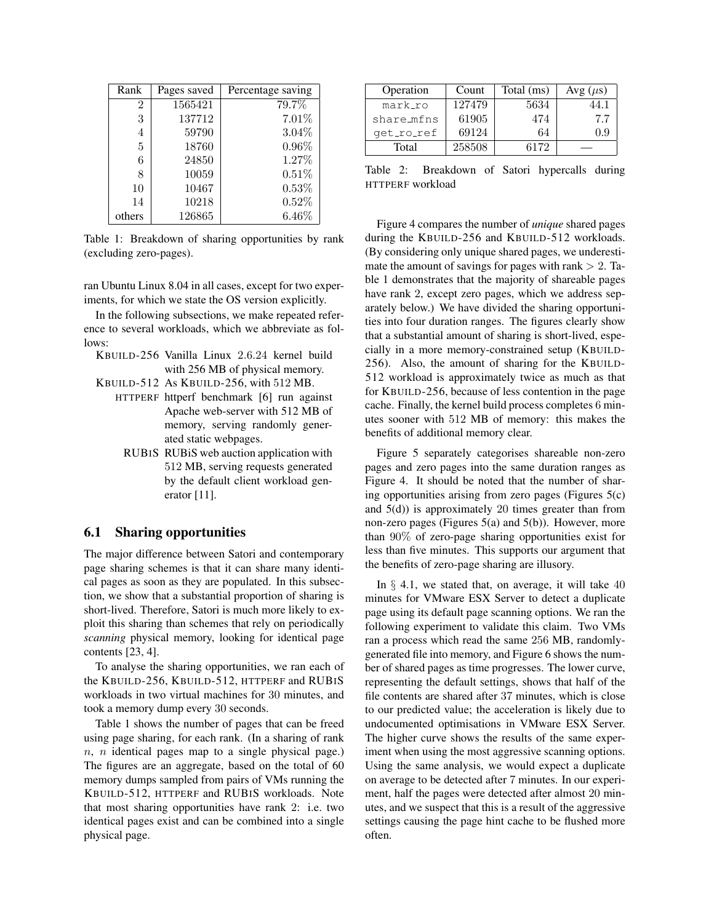| Rank           | Pages saved | Percentage saving |
|----------------|-------------|-------------------|
| $\overline{2}$ | 1565421     | 79.7%             |
| 3              | 137712      | 7.01%             |
| 4              | 59790       | $3.04\%$          |
| 5              | 18760       | $0.96\%$          |
| 6              | 24850       | 1.27%             |
| 8              | 10059       | 0.51%             |
| 10             | 10467       | $0.53\%$          |
| 14             | 10218       | 0.52%             |
| others         | 126865      | $6.46\%$          |

Table 1: Breakdown of sharing opportunities by rank (excluding zero-pages).

ran Ubuntu Linux 8.04 in all cases, except for two experiments, for which we state the OS version explicitly.

In the following subsections, we make repeated reference to several workloads, which we abbreviate as follows:

- KBUILD-256 Vanilla Linux 2.6.24 kernel build with 256 MB of physical memory.
- KBUILD-512 As KBUILD-256, with 512 MB.
	- HTTPERF httperf benchmark [6] run against Apache web-server with 512 MB of memory, serving randomly generated static webpages.
		- RUBIS RUBiS web auction application with 512 MB, serving requests generated by the default client workload generator [11].

## 6.1 Sharing opportunities

The major difference between Satori and contemporary page sharing schemes is that it can share many identical pages as soon as they are populated. In this subsection, we show that a substantial proportion of sharing is short-lived. Therefore, Satori is much more likely to exploit this sharing than schemes that rely on periodically *scanning* physical memory, looking for identical page contents [23, 4].

To analyse the sharing opportunities, we ran each of the KBUILD-256, KBUILD-512, HTTPERF and RUBIS workloads in two virtual machines for 30 minutes, and took a memory dump every 30 seconds.

Table 1 shows the number of pages that can be freed using page sharing, for each rank. (In a sharing of rank  $n, n$  identical pages map to a single physical page.) The figures are an aggregate, based on the total of 60 memory dumps sampled from pairs of VMs running the KBUILD-512, HTTPERF and RUBIS workloads. Note that most sharing opportunities have rank 2: i.e. two identical pages exist and can be combined into a single physical page.

| Operation  | Count  | Total (ms) | Avg $(\mu s)$ |  |  |
|------------|--------|------------|---------------|--|--|
| mark_ro    | 127479 | 5634       | 44.1          |  |  |
| share_mfns | 61905  | 474        | 7.7           |  |  |
| get_ro_ref | 69124  | 64         | 0 9           |  |  |
| Total      | 258508 | 6172       |               |  |  |

Table 2: Breakdown of Satori hypercalls during HTTPERF workload

Figure 4 compares the number of *unique* shared pages during the KBUILD-256 and KBUILD-512 workloads. (By considering only unique shared pages, we underestimate the amount of savings for pages with rank  $> 2$ . Table 1 demonstrates that the majority of shareable pages have rank 2, except zero pages, which we address separately below.) We have divided the sharing opportunities into four duration ranges. The figures clearly show that a substantial amount of sharing is short-lived, especially in a more memory-constrained setup (KBUILD-256). Also, the amount of sharing for the KBUILD-512 workload is approximately twice as much as that for KBUILD-256, because of less contention in the page cache. Finally, the kernel build process completes 6 minutes sooner with 512 MB of memory: this makes the benefits of additional memory clear.

Figure 5 separately categorises shareable non-zero pages and zero pages into the same duration ranges as Figure 4. It should be noted that the number of sharing opportunities arising from zero pages (Figures 5(c) and  $5(d)$ ) is approximately 20 times greater than from non-zero pages (Figures 5(a) and 5(b)). However, more than 90% of zero-page sharing opportunities exist for less than five minutes. This supports our argument that the benefits of zero-page sharing are illusory.

In  $\S$  4.1, we stated that, on average, it will take 40 minutes for VMware ESX Server to detect a duplicate page using its default page scanning options. We ran the following experiment to validate this claim. Two VMs ran a process which read the same 256 MB, randomlygenerated file into memory, and Figure 6 shows the number of shared pages as time progresses. The lower curve, representing the default settings, shows that half of the file contents are shared after 37 minutes, which is close to our predicted value; the acceleration is likely due to undocumented optimisations in VMware ESX Server. The higher curve shows the results of the same experiment when using the most aggressive scanning options. Using the same analysis, we would expect a duplicate on average to be detected after 7 minutes. In our experiment, half the pages were detected after almost 20 minutes, and we suspect that this is a result of the aggressive settings causing the page hint cache to be flushed more often.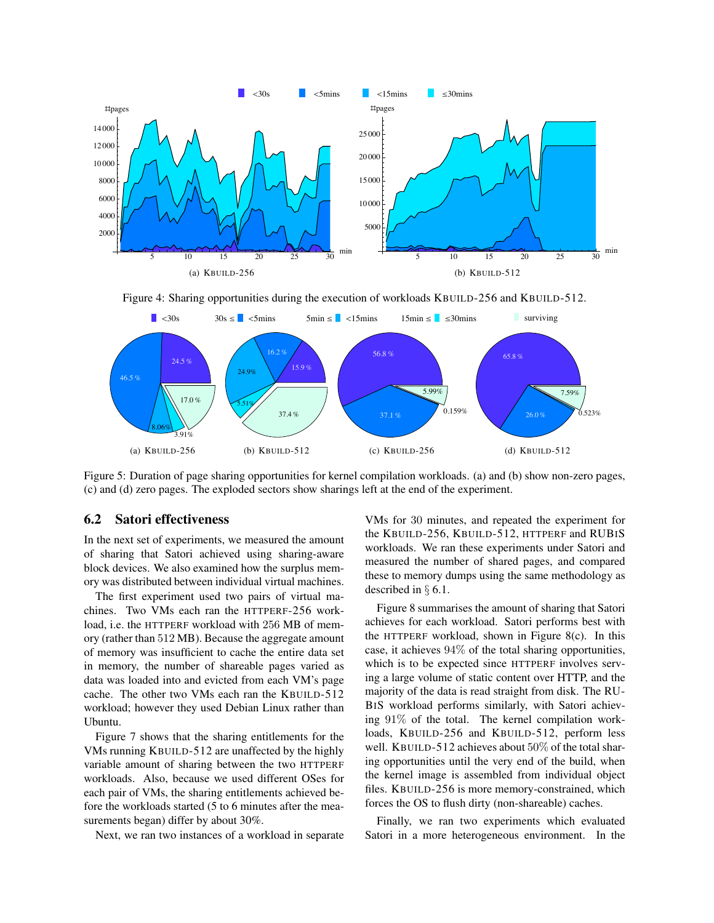

Figure 4: Sharing opportunities during the execution of workloads KBUILD-256 and KBUILD-512.



Figure 5: Duration of page sharing opportunities for kernel compilation workloads. (a) and (b) show non-zero pages, (c) and (d) zero pages. The exploded sectors show sharings left at the end of the experiment.

### 6.2 Satori effectiveness

In the next set of experiments, we measured the amount of sharing that Satori achieved using sharing-aware block devices. We also examined how the surplus memory was distributed between individual virtual machines.

The first experiment used two pairs of virtual machines. Two VMs each ran the HTTPERF-256 workload, i.e. the HTTPERF workload with 256 MB of memory (rather than 512 MB). Because the aggregate amount of memory was insufficient to cache the entire data set in memory, the number of shareable pages varied as data was loaded into and evicted from each VM's page cache. The other two VMs each ran the KBUILD-512 workload; however they used Debian Linux rather than Ubuntu.

Figure 7 shows that the sharing entitlements for the VMs running KBUILD-512 are unaffected by the highly variable amount of sharing between the two HTTPERF workloads. Also, because we used different OSes for each pair of VMs, the sharing entitlements achieved before the workloads started (5 to 6 minutes after the measurements began) differ by about 30%.

Next, we ran two instances of a workload in separate

VMs for 30 minutes, and repeated the experiment for the KBUILD-256, KBUILD-512, HTTPERF and RUBIS workloads. We ran these experiments under Satori and measured the number of shared pages, and compared these to memory dumps using the same methodology as described in § 6.1.

Figure 8 summarises the amount of sharing that Satori achieves for each workload. Satori performs best with the HTTPERF workload, shown in Figure 8(c). In this case, it achieves 94% of the total sharing opportunities, which is to be expected since HTTPERF involves serving a large volume of static content over HTTP, and the majority of the data is read straight from disk. The RU-BIS workload performs similarly, with Satori achieving 91% of the total. The kernel compilation workloads, KBUILD-256 and KBUILD-512, perform less well. KBUILD-512 achieves about 50% of the total sharing opportunities until the very end of the build, when the kernel image is assembled from individual object files. KBUILD-256 is more memory-constrained, which forces the OS to flush dirty (non-shareable) caches.

Finally, we ran two experiments which evaluated Satori in a more heterogeneous environment. In the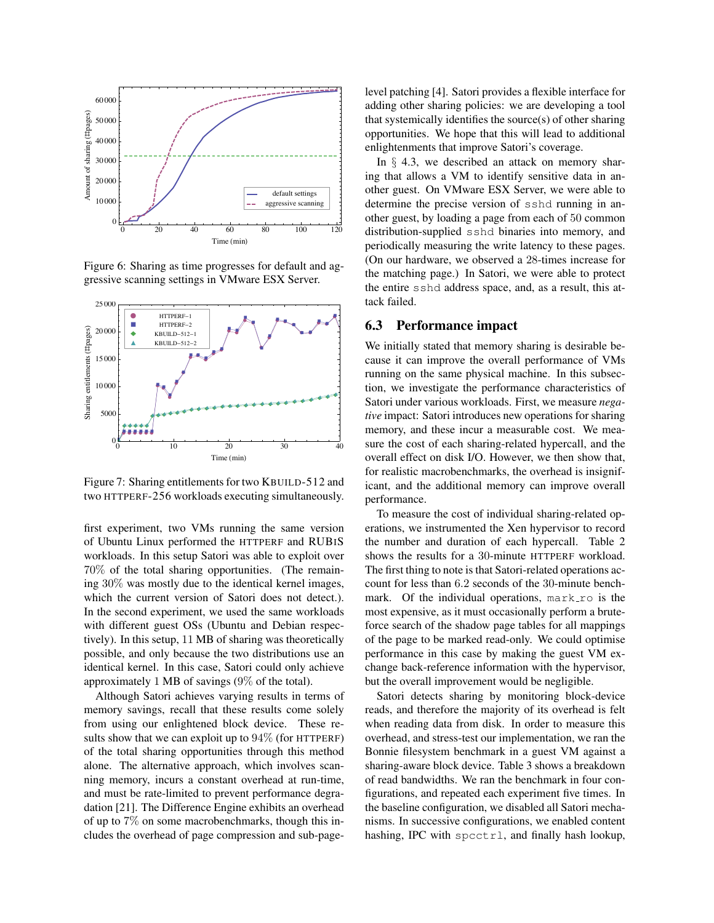

Figure 6: Sharing as time progresses for default and aggressive scanning settings in VMware ESX Server.



Figure 7: Sharing entitlements for two KBUILD-512 and two HTTPERF-256 workloads executing simultaneously.

first experiment, two VMs running the same version of Ubuntu Linux performed the HTTPERF and RUBIS workloads. In this setup Satori was able to exploit over 70% of the total sharing opportunities. (The remaining 30% was mostly due to the identical kernel images, which the current version of Satori does not detect.). In the second experiment, we used the same workloads with different guest OSs (Ubuntu and Debian respectively). In this setup, 11 MB of sharing was theoretically possible, and only because the two distributions use an identical kernel. In this case, Satori could only achieve approximately 1 MB of savings (9% of the total).

Although Satori achieves varying results in terms of memory savings, recall that these results come solely from using our enlightened block device. These results show that we can exploit up to  $94\%$  (for HTTPERF) of the total sharing opportunities through this method alone. The alternative approach, which involves scanning memory, incurs a constant overhead at run-time, and must be rate-limited to prevent performance degradation [21]. The Difference Engine exhibits an overhead of up to 7% on some macrobenchmarks, though this includes the overhead of page compression and sub-pagelevel patching [4]. Satori provides a flexible interface for adding other sharing policies: we are developing a tool that systemically identifies the source(s) of other sharing opportunities. We hope that this will lead to additional enlightenments that improve Satori's coverage.

In  $\S$  4.3, we described an attack on memory sharing that allows a VM to identify sensitive data in another guest. On VMware ESX Server, we were able to determine the precise version of sshd running in another guest, by loading a page from each of 50 common distribution-supplied sshd binaries into memory, and periodically measuring the write latency to these pages. (On our hardware, we observed a 28-times increase for the matching page.) In Satori, we were able to protect the entire sshd address space, and, as a result, this attack failed.

#### $6.3$ Performance impact

We initially stated that memory sharing is desirable because it can improve the overall performance of VMs running on the same physical machine. In this subsection, we investigate the performance characteristics of Satori under various workloads. First, we measure *negative* impact: Satori introduces new operations for sharing memory, and these incur a measurable cost. We measure the cost of each sharing-related hypercall, and the overall effect on disk I/O. However, we then show that, for realistic macrobenchmarks, the overhead is insignificant, and the additional memory can improve overall performance.

To measure the cost of individual sharing-related operations, we instrumented the Xen hypervisor to record the number and duration of each hypercall. Table 2 shows the results for a 30-minute HTTPERF workload. The first thing to note is that Satori-related operations account for less than 6.2 seconds of the 30-minute benchmark. Of the individual operations,  $mark\_ro$  is the most expensive, as it must occasionally perform a bruteforce search of the shadow page tables for all mappings of the page to be marked read-only. We could optimise performance in this case by making the guest VM exchange back-reference information with the hypervisor, but the overall improvement would be negligible.

Satori detects sharing by monitoring block-device reads, and therefore the majority of its overhead is felt when reading data from disk. In order to measure this overhead, and stress-test our implementation, we ran the Bonnie filesystem benchmark in a guest VM against a sharing-aware block device. Table 3 shows a breakdown of read bandwidths. We ran the benchmark in four configurations, and repeated each experiment five times. In the baseline configuration, we disabled all Satori mechanisms. In successive configurations, we enabled content hashing, IPC with spcctrl, and finally hash lookup,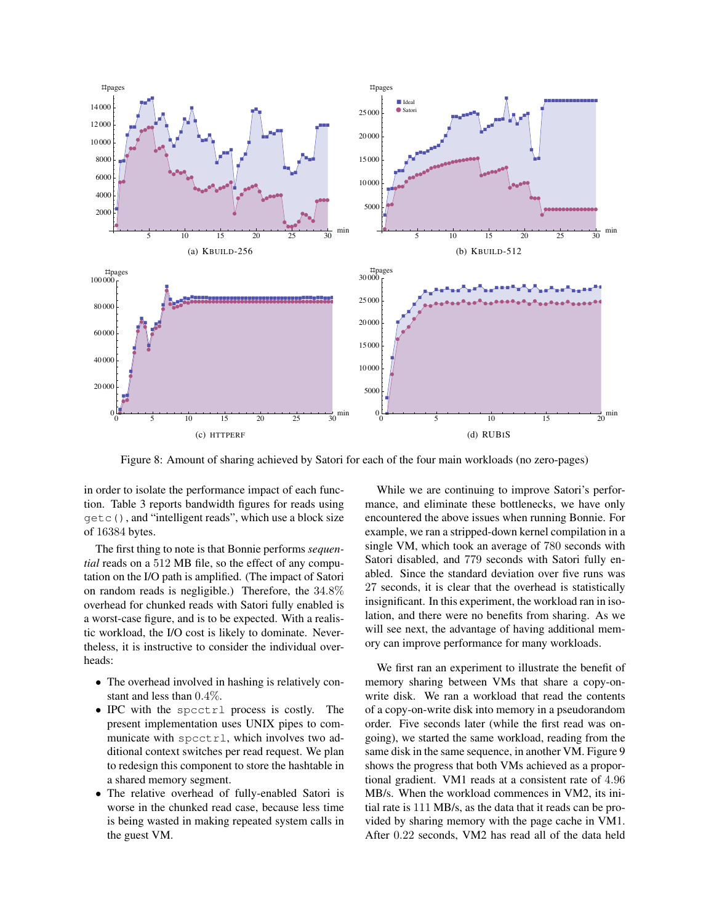

Figure 8: Amount of sharing achieved by Satori for each of the four main workloads (no zero-pages)

in order to isolate the performance impact of each function. Table 3 reports bandwidth figures for reads using getc(), and "intelligent reads", which use a block size of 16384 bytes.

The first thing to note is that Bonnie performs *sequential* reads on a 512 MB file, so the effect of any computation on the I/O path is amplified. (The impact of Satori on random reads is negligible.) Therefore, the 34.8% overhead for chunked reads with Satori fully enabled is a worst-case figure, and is to be expected. With a realistic workload, the I/O cost is likely to dominate. Nevertheless, it is instructive to consider the individual overheads:

- The overhead involved in hashing is relatively constant and less than 0.4%.
- IPC with the spcctrl process is costly. The present implementation uses UNIX pipes to communicate with spcctrl, which involves two additional context switches per read request. We plan to redesign this component to store the hashtable in a shared memory segment.
- The relative overhead of fully-enabled Satori is worse in the chunked read case, because less time is being wasted in making repeated system calls in the guest VM.

While we are continuing to improve Satori's performance, and eliminate these bottlenecks, we have only encountered the above issues when running Bonnie. For example, we ran a stripped-down kernel compilation in a single VM, which took an average of 780 seconds with Satori disabled, and 779 seconds with Satori fully enabled. Since the standard deviation over five runs was 27 seconds, it is clear that the overhead is statistically insignificant. In this experiment, the workload ran in isolation, and there were no benefits from sharing. As we will see next, the advantage of having additional memory can improve performance for many workloads.

We first ran an experiment to illustrate the benefit of memory sharing between VMs that share a copy-onwrite disk. We ran a workload that read the contents of a copy-on-write disk into memory in a pseudorandom order. Five seconds later (while the first read was ongoing), we started the same workload, reading from the same disk in the same sequence, in another VM. Figure 9 shows the progress that both VMs achieved as a proportional gradient. VM1 reads at a consistent rate of 4.96 MB/s. When the workload commences in VM2, its initial rate is 111 MB/s, as the data that it reads can be provided by sharing memory with the page cache in VM1. After 0.22 seconds, VM2 has read all of the data held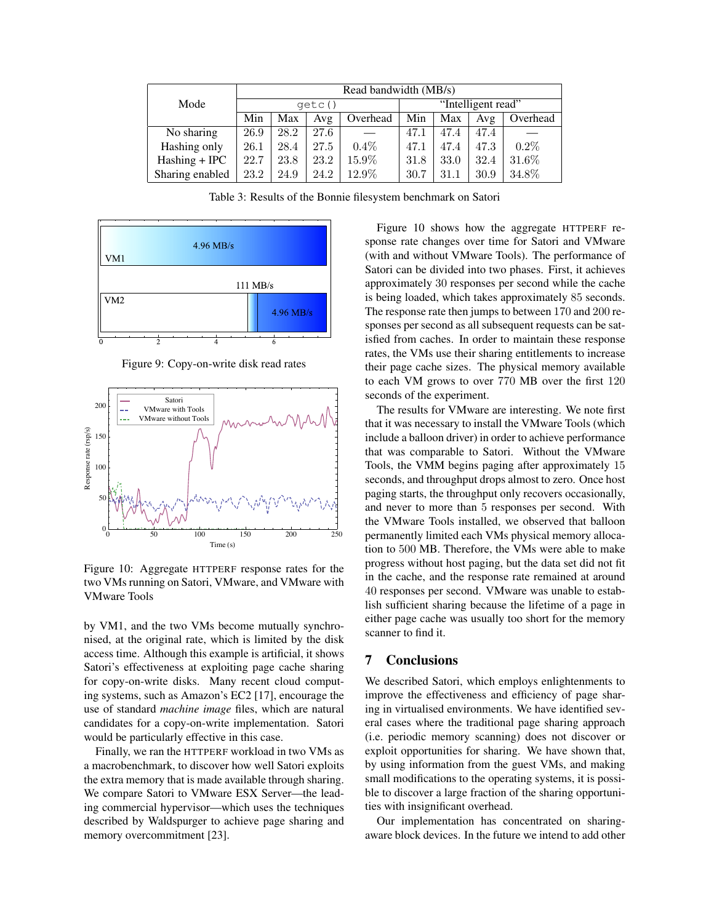|                 | Read bandwidth (MB/s) |      |      |                    |      |      |      |          |
|-----------------|-----------------------|------|------|--------------------|------|------|------|----------|
| Mode            | qetc()                |      |      | "Intelligent read" |      |      |      |          |
|                 | Min                   | Max  | Avg  | Overhead           | Min  | Max  | Avg  | Overhead |
| No sharing      | 26.9                  | 28.2 | 27.6 |                    | 47.1 | 47.4 | 47.4 |          |
| Hashing only    | 26.1                  | 28.4 | 27.5 | $0.4\%$            | 47.1 | 47.4 | 47.3 | $0.2\%$  |
| $Hashing + IPC$ | 22.7                  | 23.8 | 23.2 | 15.9%              | 31.8 | 33.0 | 32.4 | 31.6%    |
| Sharing enabled | 23.2                  | 24.9 | 24.2 | 12.9%              | 30.7 | 31.1 | 30.9 | 34.8%    |

Table 3: Results of the Bonnie filesystem benchmark on Satori



Figure 9: Copy-on-write disk read rates



Figure 10: Aggregate HTTPERF response rates for the two VMs running on Satori, VMware, and VMware with VMware Tools

by VM1, and the two VMs become mutually synchronised, at the original rate, which is limited by the disk access time. Although this example is artificial, it shows Satori's effectiveness at exploiting page cache sharing for copy-on-write disks. Many recent cloud computing systems, such as Amazon's EC2 [17], encourage the use of standard *machine image* files, which are natural candidates for a copy-on-write implementation. Satori would be particularly effective in this case.

Finally, we ran the HTTPERF workload in two VMs as a macrobenchmark, to discover how well Satori exploits the extra memory that is made available through sharing. We compare Satori to VMware ESX Server—the leading commercial hypervisor—which uses the techniques described by Waldspurger to achieve page sharing and memory overcommitment [23].

Figure 10 shows how the aggregate HTTPERF response rate changes over time for Satori and VMware (with and without VMware Tools). The performance of Satori can be divided into two phases. First, it achieves approximately 30 responses per second while the cache is being loaded, which takes approximately 85 seconds. The response rate then jumps to between 170 and 200 responses per second as all subsequent requests can be satisfied from caches. In order to maintain these response rates, the VMs use their sharing entitlements to increase their page cache sizes. The physical memory available to each VM grows to over 770 MB over the first 120 seconds of the experiment.

The results for VMware are interesting. We note first that it was necessary to install the VMware Tools (which include a balloon driver) in order to achieve performance that was comparable to Satori. Without the VMware Tools, the VMM begins paging after approximately 15 seconds, and throughput drops almost to zero. Once host paging starts, the throughput only recovers occasionally, and never to more than 5 responses per second. With the VMware Tools installed, we observed that balloon permanently limited each VMs physical memory allocation to 500 MB. Therefore, the VMs were able to make progress without host paging, but the data set did not fit in the cache, and the response rate remained at around 40 responses per second. VMware was unable to establish sufficient sharing because the lifetime of a page in either page cache was usually too short for the memory scanner to find it.

# 7 Conclusions

We described Satori, which employs enlightenments to improve the effectiveness and efficiency of page sharing in virtualised environments. We have identified several cases where the traditional page sharing approach (i.e. periodic memory scanning) does not discover or exploit opportunities for sharing. We have shown that, by using information from the guest VMs, and making small modifications to the operating systems, it is possible to discover a large fraction of the sharing opportunities with insignificant overhead.

Our implementation has concentrated on sharingaware block devices. In the future we intend to add other